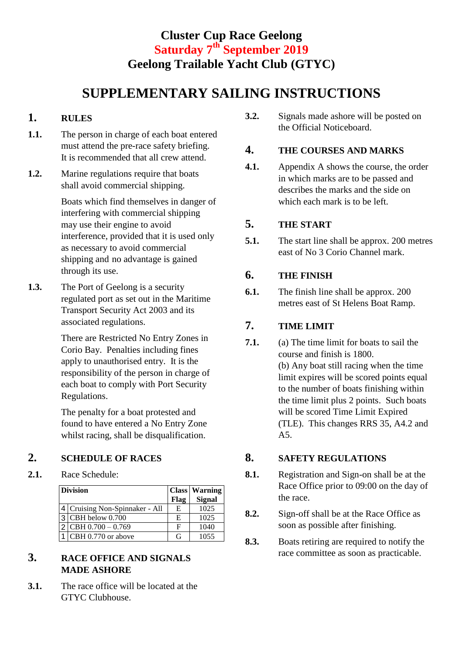# **Cluster Cup Race Geelong Saturday 7 th September 2019 Geelong Trailable Yacht Club (GTYC)**

# **SUPPLEMENTARY SAILING INSTRUCTIONS**

#### **1. RULES**

- **1.1.** The person in charge of each boat entered must attend the pre-race safety briefing. It is recommended that all crew attend.
- **1.2.** Marine regulations require that boats shall avoid commercial shipping.

Boats which find themselves in danger of interfering with commercial shipping may use their engine to avoid interference, provided that it is used only as necessary to avoid commercial shipping and no advantage is gained through its use.

**1.3.** The Port of Geelong is a security regulated port as set out in the Maritime Transport Security Act 2003 and its associated regulations.

> There are Restricted No Entry Zones in Corio Bay. Penalties including fines apply to unauthorised entry. It is the responsibility of the person in charge of each boat to comply with Port Security Regulations.

The penalty for a boat protested and found to have entered a No Entry Zone whilst racing, shall be disqualification.

## **2. SCHEDULE OF RACES**

**2.1.** Race Schedule:

| <b>Division</b> |                                |      | <b>Class Warning</b> |
|-----------------|--------------------------------|------|----------------------|
|                 |                                | Flag | <b>Signal</b>        |
|                 | 4 Cruising Non-Spinnaker - All | E    | 1025                 |
|                 | $3$ CBH below 0.700            | E    | 1025                 |
|                 | $2$ CBH 0.700 - 0.769          | F    | 1040                 |
|                 | CBH 0.770 or above             | G    | 1055                 |

#### **3. RACE OFFICE AND SIGNALS MADE ASHORE**

**3.1.** The race office will be located at the GTYC Clubhouse.

**3.2.** Signals made ashore will be posted on the Official Noticeboard.

#### **4. THE COURSES AND MARKS**

**4.1.** Appendix A shows the course, the order in which marks are to be passed and describes the marks and the side on which each mark is to be left.

#### **5. THE START**

**5.1.** The start line shall be approx. 200 metres east of No 3 Corio Channel mark.

### **6. THE FINISH**

**6.1.** The finish line shall be approx. 200 metres east of St Helens Boat Ramp.

## **7. TIME LIMIT**

**7.1.** (a) The time limit for boats to sail the course and finish is 1800. (b) Any boat still racing when the time limit expires will be scored points equal to the number of boats finishing within the time limit plus 2 points. Such boats will be scored Time Limit Expired (TLE). This changes RRS 35, A4.2 and A5.

#### **8. SAFETY REGULATIONS**

- **8.1.** Registration and Sign-on shall be at the Race Office prior to 09:00 on the day of the race.
- **8.2.** Sign-off shall be at the Race Office as soon as possible after finishing.
- **8.3.** Boats retiring are required to notify the race committee as soon as practicable.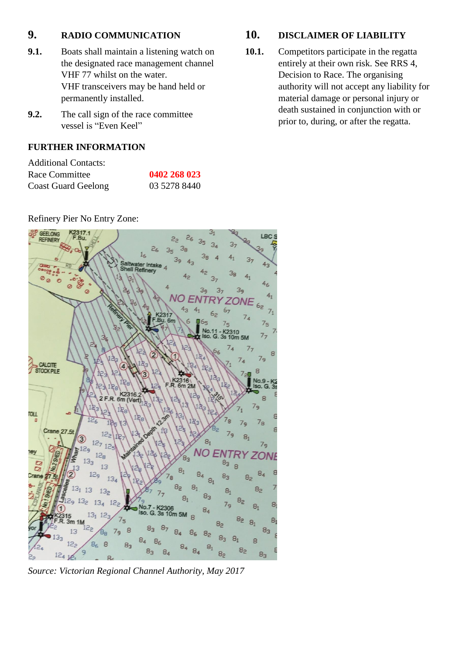#### **9. RADIO COMMUNICATION**

- **9.1.** Boats shall maintain a listening watch on the designated race management channel VHF 77 whilst on the water. VHF transceivers may be hand held or permanently installed.
- **9.2.** The call sign of the race committee vessel is "Even Keel"

#### **FURTHER INFORMATION**

| <b>Additional Contacts:</b> |              |
|-----------------------------|--------------|
| Race Committee              | 0402 268 023 |
| <b>Coast Guard Geelong</b>  | 03 5278 8440 |

Refinery Pier No Entry Zone:

#### GEELONG 31 LBC.  $\overline{P}_{n}$ itwater Intake<br>ell Refinery **CALCITE STOCK PILE** 6m (Vert) ¢ ا ہ TOLL  $7<sub>8</sub>$ Crane 27 56  $12<sub>2</sub>$  $7<sub>9</sub>$  $8<sub>1</sub>$ 3  $8<sub>1</sub>$  $12 12<sup>1</sup>$  $7<sub>q</sub>$ **NO ENTRY ZON**  $12<sub>8</sub>$ ัธิว  $8<sup>3</sup>$  8 13  $8<sub>1</sub>$  $12q$  $8<sub>3</sub>$  $13<sub>4</sub>$  $8<sub>1</sub>$ 82  $8<sub>2</sub>$  $13$  $13<sub>2</sub>$  $\mathbf{8}_{1}$  $8<sub>3</sub>$  $\mathcal{R}$  $13<sub>2</sub>$  $12.$  $7<sub>q</sub>$  $\overline{R}$  $\sqrt{2}$  $\mathbf{a}$ g  $8<sub>2</sub>$  $8<sub>3</sub>$  $\overline{a}$  $8<sub>6</sub>$  $\mathbf{a}$  $8<sub>2</sub>$  $\Omega$  $8<sub>2</sub>$  $\mathsf{R}$  $B_3$ q

*Source: Victorian Regional Channel Authority, May 2017*

### **10. DISCLAIMER OF LIABILITY**

10.1. Competitors participate in the regatta entirely at their own risk. See RRS 4, Decision to Race. The organising authority will not accept any liability for material damage or personal injury or death sustained in conjunction with or prior to, during, or after the regatta.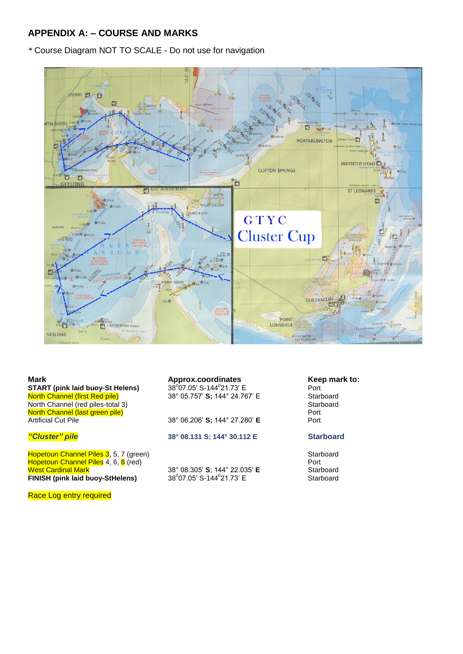#### **APPENDIX A: – COURSE AND MARKS**

*\** Course Diagram NOT TO SCALE - Do not use for navigation



**Mark Approx.coordinates Approx.coordinates Keep mark to:**<br>**START (pink laid buov-St Helens)** 38°07.05′ S-144°21.73′ E Port **START (pink laid buoy-St Helens)**<br>North Channel (first Red pile) North Channel (first Red pile) 38° 05.757' S; 144° 24.767' E Starboard North Channel (red piles-total 3) Starboard<br>
North Channel (last green pile) Starboard<br>
North Channel (last green pile) North Channel (last green pile)<br>Artificial Cut Pile Port (28° 06.206' S; 144° 27.280' E

Hopetoun Channel Piles 3, 5, 7 (green)<br>Hopetoun Channel Piles 4, 6, 8 (red) Starboard Starboard Starboard Hopetoun Channel Piles 4, 6, <mark>8</mark> (red) Port West Cardinal Mark 38° 08.305' **S**; 144° 22.035' **E** Starboard **FINISH (pink laid buoy-StHelens)** 38° 08.305' **S**; 144° 22.035' **E**<br> **FINISH (pink laid buoy-StHelens)** 38° 07.05' S-144° 21.73' E

07.05' S-144°21.73' E Port

38° 06.206' S; 144° 27.280' E

#### *"Cluster" pile* **38° 08.131 S; 144° 30.112 E Starboard**

38°07.05' S-144°21.73' E

**Starboard** 

Race Log entry required